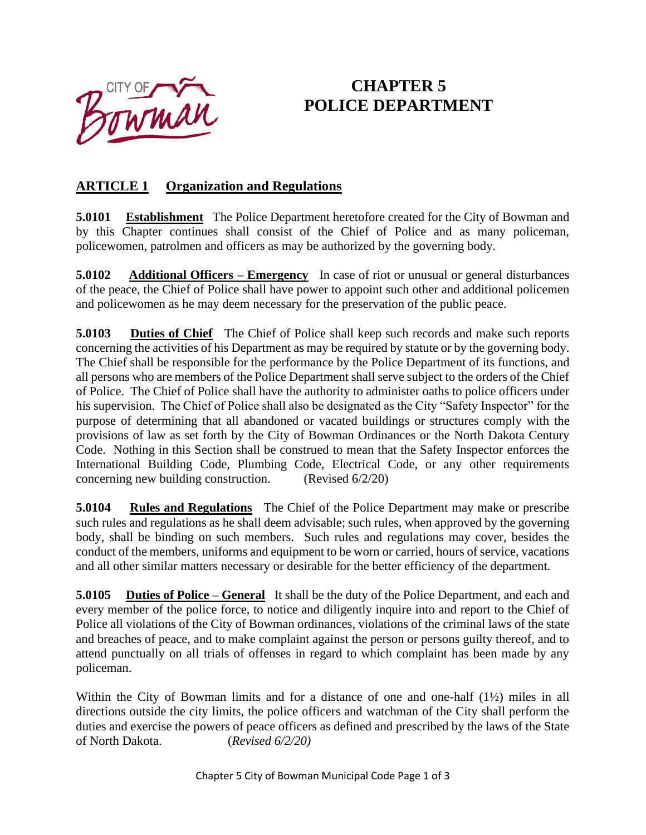

# **CHAPTER 5 POLICE DEPARTMENT**

### **ARTICLE 1 Organization and Regulations**

**5.0101 Establishment** The Police Department heretofore created for the City of Bowman and by this Chapter continues shall consist of the Chief of Police and as many policeman, policewomen, patrolmen and officers as may be authorized by the governing body.

**5.0102** Additional Officers – **Emergency** In case of riot or unusual or general disturbances of the peace, the Chief of Police shall have power to appoint such other and additional policemen and policewomen as he may deem necessary for the preservation of the public peace.

**5.0103** Duties of Chief The Chief of Police shall keep such records and make such reports concerning the activities of his Department as may be required by statute or by the governing body. The Chief shall be responsible for the performance by the Police Department of its functions, and all persons who are members of the Police Department shall serve subject to the orders of the Chief of Police. The Chief of Police shall have the authority to administer oaths to police officers under his supervision. The Chief of Police shall also be designated as the City "Safety Inspector" for the purpose of determining that all abandoned or vacated buildings or structures comply with the provisions of law as set forth by the City of Bowman Ordinances or the North Dakota Century Code. Nothing in this Section shall be construed to mean that the Safety Inspector enforces the International Building Code, Plumbing Code, Electrical Code, or any other requirements concerning new building construction. (Revised 6/2/20)

**5.0104 Rules and Regulations** The Chief of the Police Department may make or prescribe such rules and regulations as he shall deem advisable; such rules, when approved by the governing body, shall be binding on such members. Such rules and regulations may cover, besides the conduct of the members, uniforms and equipment to be worn or carried, hours of service, vacations and all other similar matters necessary or desirable for the better efficiency of the department.

**5.0105** Duties of Police – General It shall be the duty of the Police Department, and each and every member of the police force, to notice and diligently inquire into and report to the Chief of Police all violations of the City of Bowman ordinances, violations of the criminal laws of the state and breaches of peace, and to make complaint against the person or persons guilty thereof, and to attend punctually on all trials of offenses in regard to which complaint has been made by any policeman.

Within the City of Bowman limits and for a distance of one and one-half (1½) miles in all directions outside the city limits, the police officers and watchman of the City shall perform the duties and exercise the powers of peace officers as defined and prescribed by the laws of the State of North Dakota. (*Revised 6/2/20)*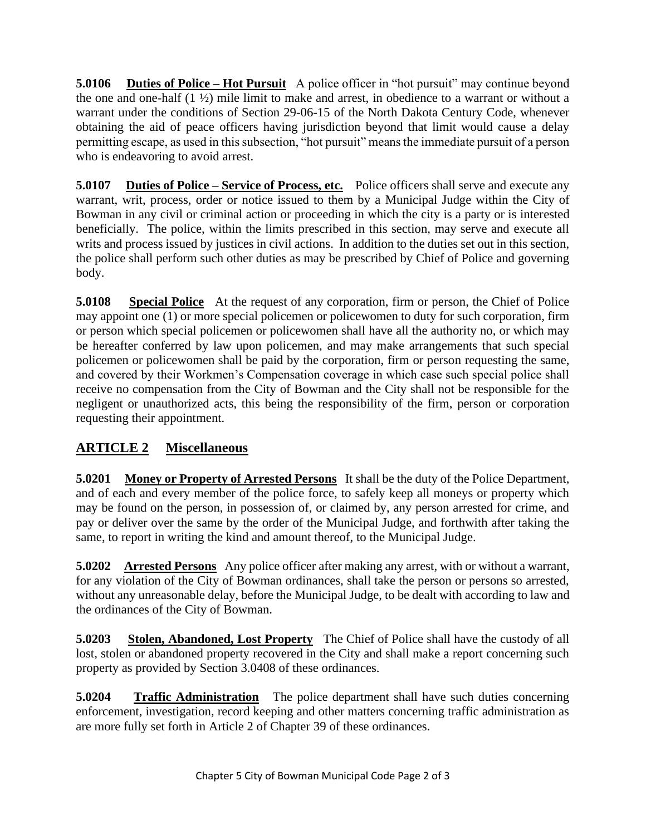**5.0106** Duties of Police – Hot Pursuit A police officer in "hot pursuit" may continue beyond the one and one-half (1 ½) mile limit to make and arrest, in obedience to a warrant or without a warrant under the conditions of Section 29-06-15 of the North Dakota Century Code, whenever obtaining the aid of peace officers having jurisdiction beyond that limit would cause a delay permitting escape, as used in this subsection, "hot pursuit" means the immediate pursuit of a person who is endeavoring to avoid arrest.

**5.0107** Duties of Police – Service of Process, etc. Police officers shall serve and execute any warrant, writ, process, order or notice issued to them by a Municipal Judge within the City of Bowman in any civil or criminal action or proceeding in which the city is a party or is interested beneficially. The police, within the limits prescribed in this section, may serve and execute all writs and process issued by justices in civil actions. In addition to the duties set out in this section, the police shall perform such other duties as may be prescribed by Chief of Police and governing body.

**5.0108** Special Police At the request of any corporation, firm or person, the Chief of Police may appoint one (1) or more special policemen or policewomen to duty for such corporation, firm or person which special policemen or policewomen shall have all the authority no, or which may be hereafter conferred by law upon policemen, and may make arrangements that such special policemen or policewomen shall be paid by the corporation, firm or person requesting the same, and covered by their Workmen's Compensation coverage in which case such special police shall receive no compensation from the City of Bowman and the City shall not be responsible for the negligent or unauthorized acts, this being the responsibility of the firm, person or corporation requesting their appointment.

## **ARTICLE 2 Miscellaneous**

**5.0201 Money or Property of Arrested Persons** It shall be the duty of the Police Department, and of each and every member of the police force, to safely keep all moneys or property which may be found on the person, in possession of, or claimed by, any person arrested for crime, and pay or deliver over the same by the order of the Municipal Judge, and forthwith after taking the same, to report in writing the kind and amount thereof, to the Municipal Judge.

**5.0202 Arrested Persons** Any police officer after making any arrest, with or without a warrant, for any violation of the City of Bowman ordinances, shall take the person or persons so arrested, without any unreasonable delay, before the Municipal Judge, to be dealt with according to law and the ordinances of the City of Bowman.

**5.0203 Stolen, Abandoned, Lost Property** The Chief of Police shall have the custody of all lost, stolen or abandoned property recovered in the City and shall make a report concerning such property as provided by Section 3.0408 of these ordinances.

**5.0204 Traffic Administration** The police department shall have such duties concerning enforcement, investigation, record keeping and other matters concerning traffic administration as are more fully set forth in Article 2 of Chapter 39 of these ordinances.